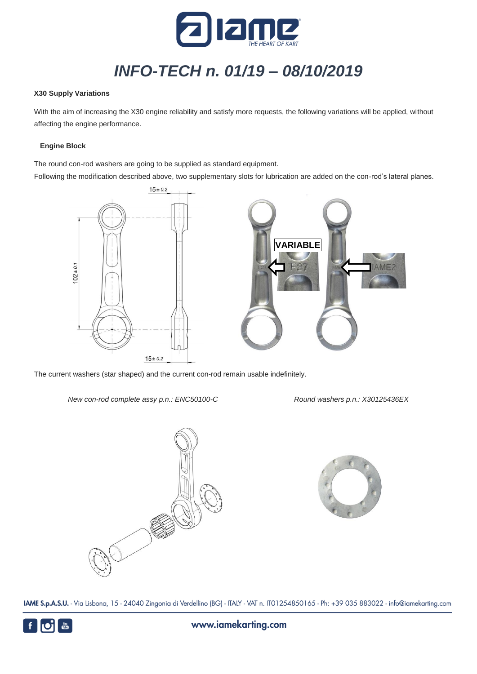

# *INFO-TECH n. 01/19 – 08/10/2019*

#### **X30 Supply Variations**

With the aim of increasing the X30 engine reliability and satisfy more requests, the following variations will be applied, without affecting the engine performance.

#### **\_ Engine Block**

The round con-rod washers are going to be supplied as standard equipment.

Following the modification described above, two supplementary slots for lubrication are added on the con-rod's lateral planes.



The current washers (star shaped) and the current con-rod remain usable indefinitely.

*New con-rod complete assy p.n.: ENC50100-C Round washers p.n.: X30125436EX*





IAME S.p.A.S.U. - Via Lisbona, 15 - 24040 Zingonia di Verdellino (BG) - ITALY - VAT n. IT01254850165 - Ph: +39 035 883022 - info@iamekarting.com

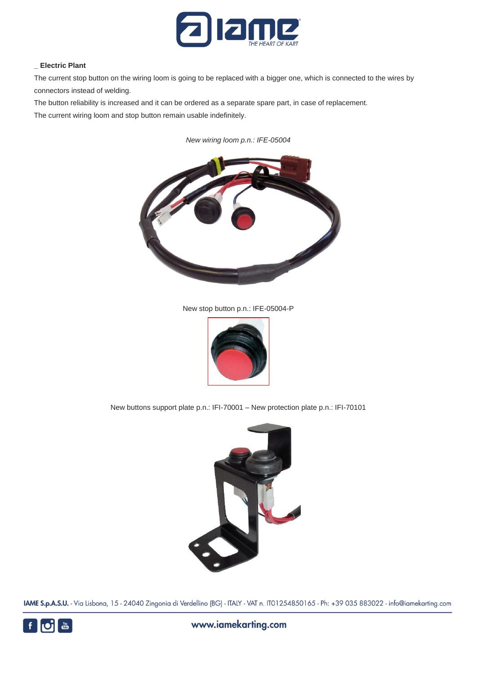

# **\_ Electric Plant**

The current stop button on the wiring loom is going to be replaced with a bigger one, which is connected to the wires by connectors instead of welding.

The button reliability is increased and it can be ordered as a separate spare part, in case of replacement.

The current wiring loom and stop button remain usable indefinitely.

*New wiring loom p.n.: IFE-05004*



New stop button p.n.: IFE-05004-P



New buttons support plate p.n.: IFI-70001 – New protection plate p.n.: IFI-70101



IAME S.p.A.S.U. - Via Lisbona, 15 - 24040 Zingonia di Verdellino (BG) - ITALY - VAT n. IT01254850165 - Ph: +39 035 883022 - info@iamekarting.com

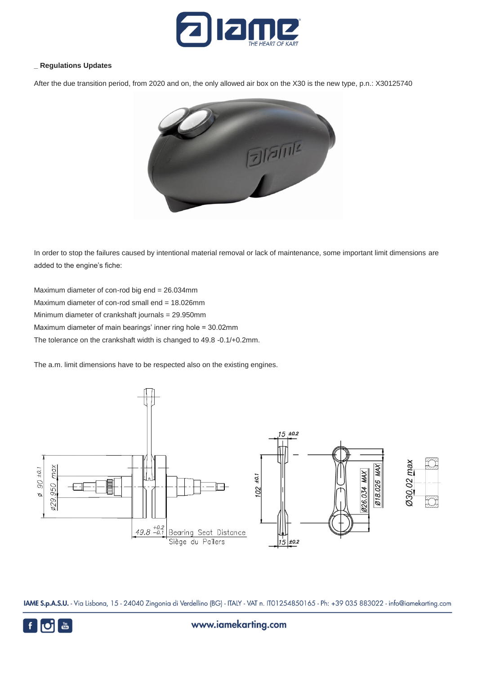

#### **\_ Regulations Updates**

After the due transition period, from 2020 and on, the only allowed air box on the X30 is the new type, p.n.: X30125740



In order to stop the failures caused by intentional material removal or lack of maintenance, some important limit dimensions are added to the engine's fiche:

Maximum diameter of con-rod big end = 26.034mm Maximum diameter of con-rod small end = 18.026mm Minimum diameter of crankshaft journals = 29.950mm Maximum diameter of main bearings' inner ring hole = 30.02mm The tolerance on the crankshaft width is changed to 49.8 -0.1/+0.2mm.

The a.m. limit dimensions have to be respected also on the existing engines.



IAME S.p.A.S.U. - Via Lisbona, 15 - 24040 Zingonia di Verdellino (BG) - ITALY - VAT n. IT01254850165 - Ph: +39 035 883022 - info@iamekarting.com



www.iamekarting.com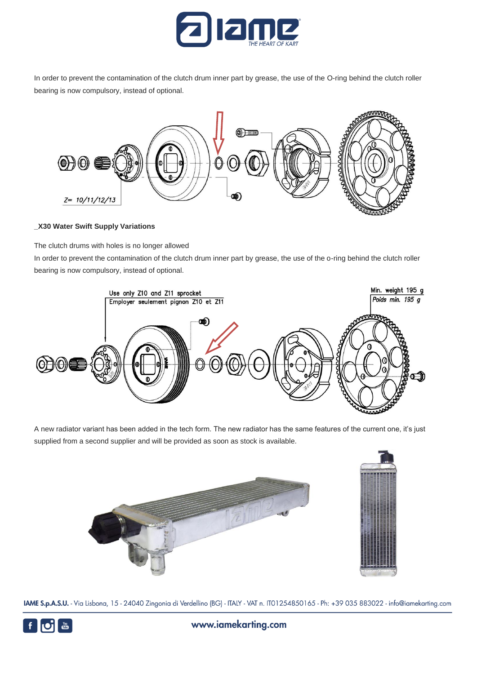

In order to prevent the contamination of the clutch drum inner part by grease, the use of the O-ring behind the clutch roller bearing is now compulsory, instead of optional.



#### **\_X30 Water Swift Supply Variations**

The clutch drums with holes is no longer allowed

In order to prevent the contamination of the clutch drum inner part by grease, the use of the o-ring behind the clutch roller bearing is now compulsory, instead of optional.



A new radiator variant has been added in the tech form. The new radiator has the same features of the current one, it's just supplied from a second supplier and will be provided as soon as stock is available.



IAME S.p.A.S.U. - Via Lisbona, 15 - 24040 Zingonia di Verdellino (BG) - ITALY - VAT n. IT01254850165 - Ph: +39 035 883022 - info@iamekarting.com



www.iamekarting.com